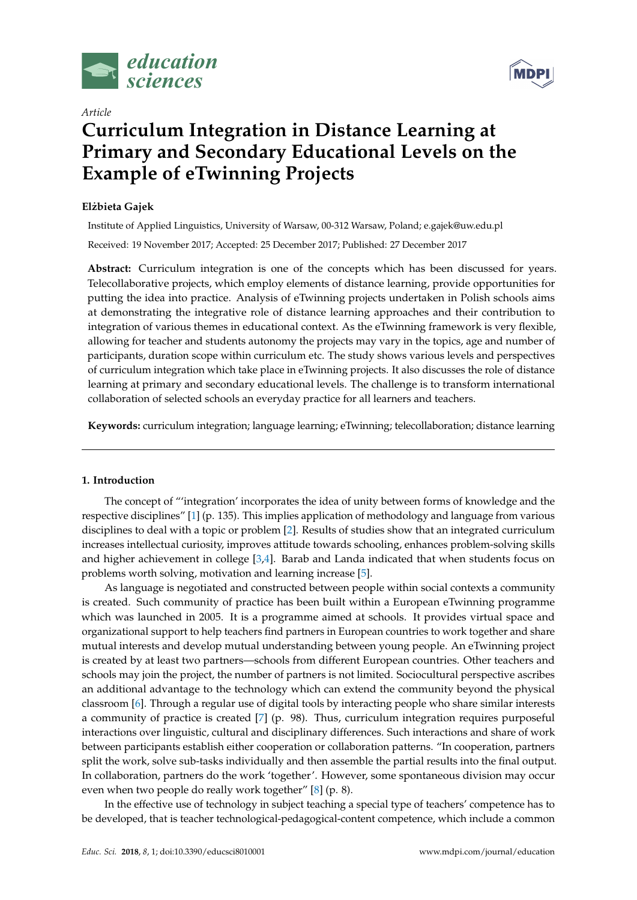

*Article*

# **Curriculum Integration in Distance Learning at Primary and Secondary Educational Levels on the Example of eTwinning Projects**

# **Elzbieta Gajek ˙**

Institute of Applied Linguistics, University of Warsaw, 00-312 Warsaw, Poland; e.gajek@uw.edu.pl

Received: 19 November 2017; Accepted: 25 December 2017; Published: 27 December 2017

**Abstract:** Curriculum integration is one of the concepts which has been discussed for years. Telecollaborative projects, which employ elements of distance learning, provide opportunities for putting the idea into practice. Analysis of eTwinning projects undertaken in Polish schools aims at demonstrating the integrative role of distance learning approaches and their contribution to integration of various themes in educational context. As the eTwinning framework is very flexible, allowing for teacher and students autonomy the projects may vary in the topics, age and number of participants, duration scope within curriculum etc. The study shows various levels and perspectives of curriculum integration which take place in eTwinning projects. It also discusses the role of distance learning at primary and secondary educational levels. The challenge is to transform international collaboration of selected schools an everyday practice for all learners and teachers.

**Keywords:** curriculum integration; language learning; eTwinning; telecollaboration; distance learning

# **1. Introduction**

The concept of "'integration' incorporates the idea of unity between forms of knowledge and the respective disciplines" [\[1\]](#page-13-0) (p. 135). This implies application of methodology and language from various disciplines to deal with a topic or problem [\[2\]](#page-13-1). Results of studies show that an integrated curriculum increases intellectual curiosity, improves attitude towards schooling, enhances problem-solving skills and higher achievement in college [\[3,](#page-13-2)[4\]](#page-13-3). Barab and Landa indicated that when students focus on problems worth solving, motivation and learning increase [\[5\]](#page-13-4).

As language is negotiated and constructed between people within social contexts a community is created. Such community of practice has been built within a European eTwinning programme which was launched in 2005. It is a programme aimed at schools. It provides virtual space and organizational support to help teachers find partners in European countries to work together and share mutual interests and develop mutual understanding between young people. An eTwinning project is created by at least two partners—schools from different European countries. Other teachers and schools may join the project, the number of partners is not limited. Sociocultural perspective ascribes an additional advantage to the technology which can extend the community beyond the physical classroom [\[6\]](#page-13-5). Through a regular use of digital tools by interacting people who share similar interests a community of practice is created [\[7\]](#page-13-6) (p. 98). Thus, curriculum integration requires purposeful interactions over linguistic, cultural and disciplinary differences. Such interactions and share of work between participants establish either cooperation or collaboration patterns. "In cooperation, partners split the work, solve sub-tasks individually and then assemble the partial results into the final output. In collaboration, partners do the work 'together'. However, some spontaneous division may occur even when two people do really work together" [\[8\]](#page-13-7) (p. 8).

In the effective use of technology in subject teaching a special type of teachers' competence has to be developed, that is teacher technological-pedagogical-content competence, which include a common

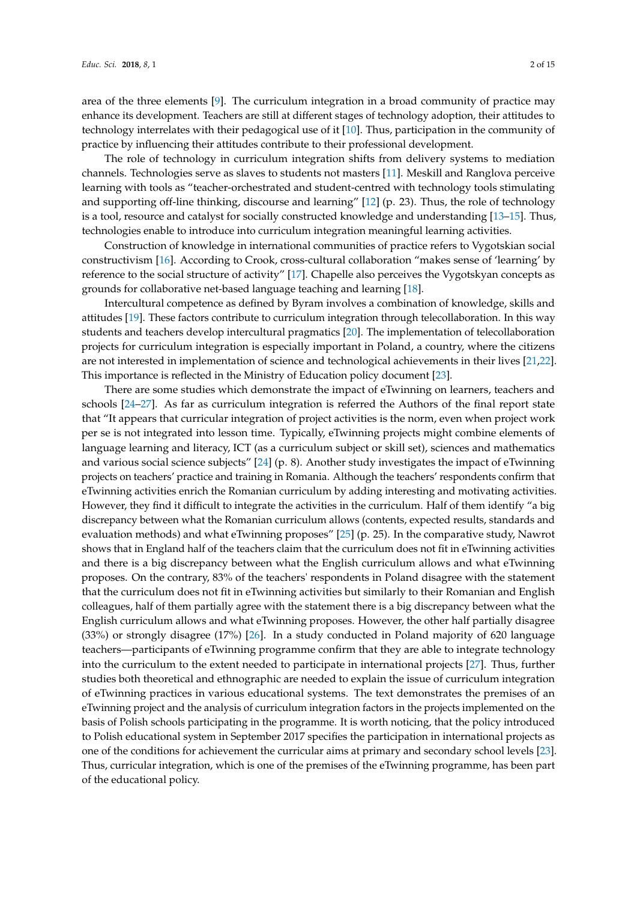area of the three elements [\[9\]](#page-13-8). The curriculum integration in a broad community of practice may enhance its development. Teachers are still at different stages of technology adoption, their attitudes to technology interrelates with their pedagogical use of it [\[10\]](#page-13-9). Thus, participation in the community of practice by influencing their attitudes contribute to their professional development.

The role of technology in curriculum integration shifts from delivery systems to mediation channels. Technologies serve as slaves to students not masters [\[11\]](#page-13-10). Meskill and Ranglova perceive learning with tools as "teacher-orchestrated and student-centred with technology tools stimulating and supporting off-line thinking, discourse and learning" [\[12\]](#page-14-0) (p. 23). Thus, the role of technology is a tool, resource and catalyst for socially constructed knowledge and understanding [\[13](#page-14-1)[–15\]](#page-14-2). Thus, technologies enable to introduce into curriculum integration meaningful learning activities.

Construction of knowledge in international communities of practice refers to Vygotskian social constructivism [\[16\]](#page-14-3). According to Crook, cross-cultural collaboration "makes sense of 'learning' by reference to the social structure of activity" [\[17\]](#page-14-4). Chapelle also perceives the Vygotskyan concepts as grounds for collaborative net-based language teaching and learning [\[18\]](#page-14-5).

Intercultural competence as defined by Byram involves a combination of knowledge, skills and attitudes [\[19\]](#page-14-6). These factors contribute to curriculum integration through telecollaboration. In this way students and teachers develop intercultural pragmatics [\[20\]](#page-14-7). The implementation of telecollaboration projects for curriculum integration is especially important in Poland, a country, where the citizens are not interested in implementation of science and technological achievements in their lives [\[21,](#page-14-8)[22\]](#page-14-9). This importance is reflected in the Ministry of Education policy document [\[23\]](#page-14-10).

There are some studies which demonstrate the impact of eTwinning on learners, teachers and schools [\[24](#page-14-11)[–27\]](#page-14-12). As far as curriculum integration is referred the Authors of the final report state that "It appears that curricular integration of project activities is the norm, even when project work per se is not integrated into lesson time. Typically, eTwinning projects might combine elements of language learning and literacy, ICT (as a curriculum subject or skill set), sciences and mathematics and various social science subjects" [\[24\]](#page-14-11) (p. 8). Another study investigates the impact of eTwinning projects on teachers' practice and training in Romania. Although the teachers' respondents confirm that eTwinning activities enrich the Romanian curriculum by adding interesting and motivating activities. However, they find it difficult to integrate the activities in the curriculum. Half of them identify "a big discrepancy between what the Romanian curriculum allows (contents, expected results, standards and evaluation methods) and what eTwinning proposes" [\[25\]](#page-14-13) (p. 25). In the comparative study, Nawrot shows that in England half of the teachers claim that the curriculum does not fit in eTwinning activities and there is a big discrepancy between what the English curriculum allows and what eTwinning proposes. On the contrary, 83% of the teachers' respondents in Poland disagree with the statement that the curriculum does not fit in eTwinning activities but similarly to their Romanian and English colleagues, half of them partially agree with the statement there is a big discrepancy between what the English curriculum allows and what eTwinning proposes. However, the other half partially disagree (33%) or strongly disagree (17%) [\[26\]](#page-14-14). In a study conducted in Poland majority of 620 language teachers—participants of eTwinning programme confirm that they are able to integrate technology into the curriculum to the extent needed to participate in international projects [\[27\]](#page-14-12). Thus, further studies both theoretical and ethnographic are needed to explain the issue of curriculum integration of eTwinning practices in various educational systems. The text demonstrates the premises of an eTwinning project and the analysis of curriculum integration factors in the projects implemented on the basis of Polish schools participating in the programme. It is worth noticing, that the policy introduced to Polish educational system in September 2017 specifies the participation in international projects as one of the conditions for achievement the curricular aims at primary and secondary school levels [\[23\]](#page-14-10). Thus, curricular integration, which is one of the premises of the eTwinning programme, has been part of the educational policy.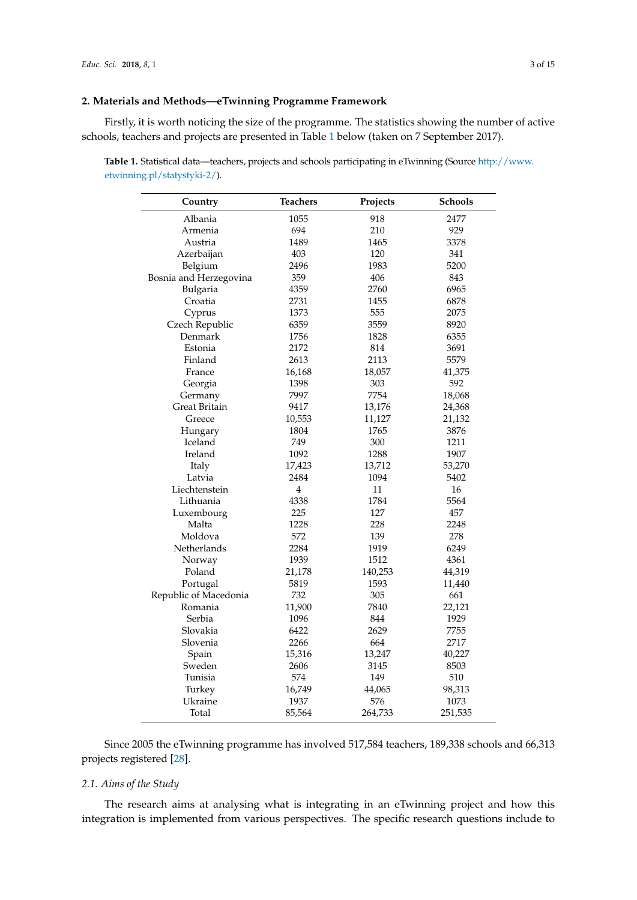### **2. Materials and Methods—eTwinning Programme Framework**

Firstly, it is worth noticing the size of the programme. The statistics showing the number of active schools, teachers and projects are presented in Table [1](#page-2-0) below (taken on 7 September 2017).

<span id="page-2-0"></span>**Table 1.** Statistical data—teachers, projects and schools participating in eTwinning (Source [http://www.](http://www.etwinning.pl/statystyki-2/) [etwinning.pl/statystyki-2/\)](http://www.etwinning.pl/statystyki-2/).

| Country                | <b>Teachers</b> | Projects | Schools |
|------------------------|-----------------|----------|---------|
| Albania                | 1055            | 918      | 2477    |
| Armenia                | 694             | 210      | 929     |
| Austria                | 1489            | 1465     | 3378    |
| Azerbaijan             | 403             | 120      | 341     |
| Belgium                | 2496            | 1983     | 5200    |
| Bosnia and Herzegovina | 359             | 406      | 843     |
| Bulgaria               | 4359            | 2760     | 6965    |
| Croatia                | 2731            | 1455     | 6878    |
| Cyprus                 | 1373            | 555      | 2075    |
| Czech Republic         | 6359            | 3559     | 8920    |
| Denmark                | 1756            | 1828     | 6355    |
| Estonia                | 2172            | 814      | 3691    |
| Finland                | 2613            | 2113     | 5579    |
| France                 | 16,168          | 18,057   | 41,375  |
| Georgia                | 1398            | 303      | 592     |
| Germany                | 7997            | 7754     | 18,068  |
| <b>Great Britain</b>   | 9417            | 13,176   | 24,368  |
| Greece                 | 10,553          | 11,127   | 21,132  |
| Hungary                | 1804            | 1765     | 3876    |
| Iceland                | 749             | 300      | 1211    |
| Ireland                | 1092            | 1288     | 1907    |
| Italy                  | 17,423          | 13,712   | 53,270  |
| Latvia                 | 2484            | 1094     | 5402    |
| Liechtenstein          | 4               | 11       | 16      |
| Lithuania              | 4338            | 1784     | 5564    |
| Luxembourg             | 225             | 127      | 457     |
| Malta                  | 1228            | 228      | 2248    |
| Moldova                | 572             | 139      | 278     |
| Netherlands            | 2284            | 1919     | 6249    |
| Norway                 | 1939            | 1512     | 4361    |
| Poland                 | 21,178          | 140,253  | 44,319  |
| Portugal               | 5819            | 1593     | 11,440  |
| Republic of Macedonia  | 732             | 305      | 661     |
| Romania                | 11,900          | 7840     | 22,121  |
| Serbia                 | 1096            | 844      | 1929    |
| Slovakia               | 6422            | 2629     | 7755    |
| Slovenia               | 2266            | 664      | 2717    |
| Spain                  | 15,316          | 13,247   | 40,227  |
| Sweden                 | 2606            | 3145     | 8503    |
| Tunisia                | 574             | 149      | 510     |
| Turkey                 | 16,749          | 44,065   | 98,313  |
| Ukraine                | 1937            | 576      | 1073    |
| Total                  | 85,564          | 264,733  | 251,535 |

Since 2005 the eTwinning programme has involved 517,584 teachers, 189,338 schools and 66,313 projects registered [\[28\]](#page-14-15).

# *2.1. Aims of the Study*

The research aims at analysing what is integrating in an eTwinning project and how this integration is implemented from various perspectives. The specific research questions include to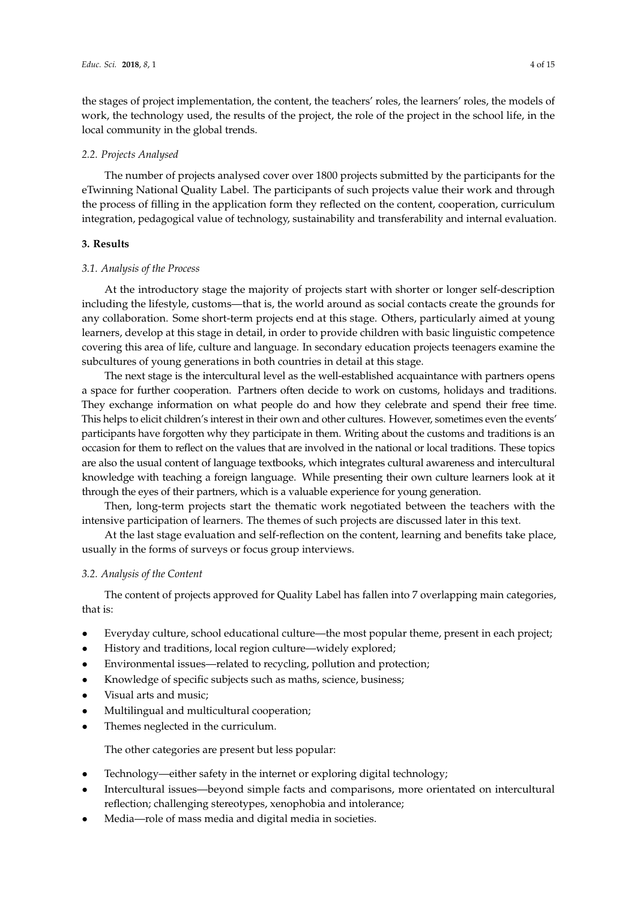the stages of project implementation, the content, the teachers' roles, the learners' roles, the models of work, the technology used, the results of the project, the role of the project in the school life, in the local community in the global trends.

# *2.2. Projects Analysed*

The number of projects analysed cover over 1800 projects submitted by the participants for the eTwinning National Quality Label. The participants of such projects value their work and through the process of filling in the application form they reflected on the content, cooperation, curriculum integration, pedagogical value of technology, sustainability and transferability and internal evaluation.

# **3. Results**

#### *3.1. Analysis of the Process*

At the introductory stage the majority of projects start with shorter or longer self-description including the lifestyle, customs—that is, the world around as social contacts create the grounds for any collaboration. Some short-term projects end at this stage. Others, particularly aimed at young learners, develop at this stage in detail, in order to provide children with basic linguistic competence covering this area of life, culture and language. In secondary education projects teenagers examine the subcultures of young generations in both countries in detail at this stage.

The next stage is the intercultural level as the well-established acquaintance with partners opens a space for further cooperation. Partners often decide to work on customs, holidays and traditions. They exchange information on what people do and how they celebrate and spend their free time. This helps to elicit children's interest in their own and other cultures. However, sometimes even the events' participants have forgotten why they participate in them. Writing about the customs and traditions is an occasion for them to reflect on the values that are involved in the national or local traditions. These topics are also the usual content of language textbooks, which integrates cultural awareness and intercultural knowledge with teaching a foreign language. While presenting their own culture learners look at it through the eyes of their partners, which is a valuable experience for young generation.

Then, long-term projects start the thematic work negotiated between the teachers with the intensive participation of learners. The themes of such projects are discussed later in this text.

At the last stage evaluation and self-reflection on the content, learning and benefits take place, usually in the forms of surveys or focus group interviews.

#### *3.2. Analysis of the Content*

The content of projects approved for Quality Label has fallen into 7 overlapping main categories, that is:

- Everyday culture, school educational culture—the most popular theme, present in each project;
- History and traditions, local region culture—widely explored;
- Environmental issues—related to recycling, pollution and protection;
- Knowledge of specific subjects such as maths, science, business;
- Visual arts and music;
- Multilingual and multicultural cooperation;
- Themes neglected in the curriculum.

The other categories are present but less popular:

- Technology—either safety in the internet or exploring digital technology;
- Intercultural issues—beyond simple facts and comparisons, more orientated on intercultural reflection; challenging stereotypes, xenophobia and intolerance;
- Media—role of mass media and digital media in societies.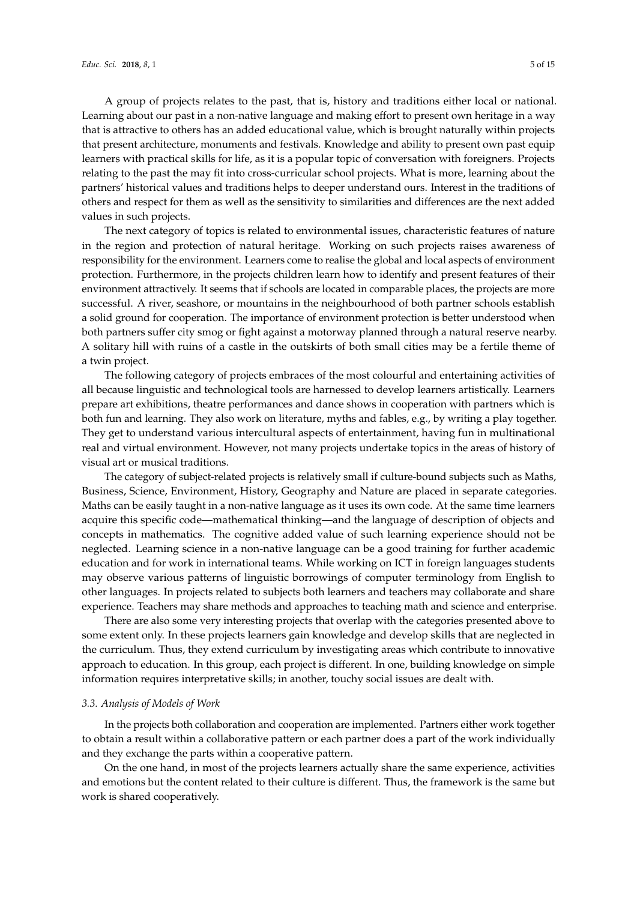A group of projects relates to the past, that is, history and traditions either local or national. Learning about our past in a non-native language and making effort to present own heritage in a way that is attractive to others has an added educational value, which is brought naturally within projects that present architecture, monuments and festivals. Knowledge and ability to present own past equip learners with practical skills for life, as it is a popular topic of conversation with foreigners. Projects relating to the past the may fit into cross-curricular school projects. What is more, learning about the partners' historical values and traditions helps to deeper understand ours. Interest in the traditions of others and respect for them as well as the sensitivity to similarities and differences are the next added values in such projects.

The next category of topics is related to environmental issues, characteristic features of nature in the region and protection of natural heritage. Working on such projects raises awareness of responsibility for the environment. Learners come to realise the global and local aspects of environment protection. Furthermore, in the projects children learn how to identify and present features of their environment attractively. It seems that if schools are located in comparable places, the projects are more successful. A river, seashore, or mountains in the neighbourhood of both partner schools establish a solid ground for cooperation. The importance of environment protection is better understood when both partners suffer city smog or fight against a motorway planned through a natural reserve nearby. A solitary hill with ruins of a castle in the outskirts of both small cities may be a fertile theme of a twin project.

The following category of projects embraces of the most colourful and entertaining activities of all because linguistic and technological tools are harnessed to develop learners artistically. Learners prepare art exhibitions, theatre performances and dance shows in cooperation with partners which is both fun and learning. They also work on literature, myths and fables, e.g., by writing a play together. They get to understand various intercultural aspects of entertainment, having fun in multinational real and virtual environment. However, not many projects undertake topics in the areas of history of visual art or musical traditions.

The category of subject-related projects is relatively small if culture-bound subjects such as Maths, Business, Science, Environment, History, Geography and Nature are placed in separate categories. Maths can be easily taught in a non-native language as it uses its own code. At the same time learners acquire this specific code—mathematical thinking—and the language of description of objects and concepts in mathematics. The cognitive added value of such learning experience should not be neglected. Learning science in a non-native language can be a good training for further academic education and for work in international teams. While working on ICT in foreign languages students may observe various patterns of linguistic borrowings of computer terminology from English to other languages. In projects related to subjects both learners and teachers may collaborate and share experience. Teachers may share methods and approaches to teaching math and science and enterprise.

There are also some very interesting projects that overlap with the categories presented above to some extent only. In these projects learners gain knowledge and develop skills that are neglected in the curriculum. Thus, they extend curriculum by investigating areas which contribute to innovative approach to education. In this group, each project is different. In one, building knowledge on simple information requires interpretative skills; in another, touchy social issues are dealt with.

#### *3.3. Analysis of Models of Work*

In the projects both collaboration and cooperation are implemented. Partners either work together to obtain a result within a collaborative pattern or each partner does a part of the work individually and they exchange the parts within a cooperative pattern.

On the one hand, in most of the projects learners actually share the same experience, activities and emotions but the content related to their culture is different. Thus, the framework is the same but work is shared cooperatively.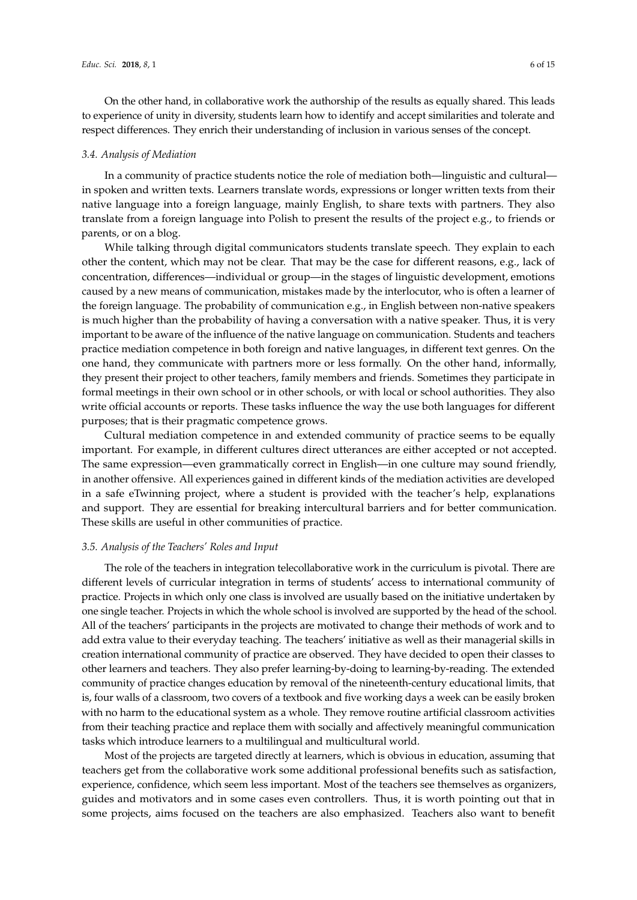On the other hand, in collaborative work the authorship of the results as equally shared. This leads to experience of unity in diversity, students learn how to identify and accept similarities and tolerate and respect differences. They enrich their understanding of inclusion in various senses of the concept.

#### *3.4. Analysis of Mediation*

In a community of practice students notice the role of mediation both—linguistic and cultural in spoken and written texts. Learners translate words, expressions or longer written texts from their native language into a foreign language, mainly English, to share texts with partners. They also translate from a foreign language into Polish to present the results of the project e.g., to friends or parents, or on a blog.

While talking through digital communicators students translate speech. They explain to each other the content, which may not be clear. That may be the case for different reasons, e.g., lack of concentration, differences—individual or group—in the stages of linguistic development, emotions caused by a new means of communication, mistakes made by the interlocutor, who is often a learner of the foreign language. The probability of communication e.g., in English between non-native speakers is much higher than the probability of having a conversation with a native speaker. Thus, it is very important to be aware of the influence of the native language on communication. Students and teachers practice mediation competence in both foreign and native languages, in different text genres. On the one hand, they communicate with partners more or less formally. On the other hand, informally, they present their project to other teachers, family members and friends. Sometimes they participate in formal meetings in their own school or in other schools, or with local or school authorities. They also write official accounts or reports. These tasks influence the way the use both languages for different purposes; that is their pragmatic competence grows.

Cultural mediation competence in and extended community of practice seems to be equally important. For example, in different cultures direct utterances are either accepted or not accepted. The same expression—even grammatically correct in English—in one culture may sound friendly, in another offensive. All experiences gained in different kinds of the mediation activities are developed in a safe eTwinning project, where a student is provided with the teacher's help, explanations and support. They are essential for breaking intercultural barriers and for better communication. These skills are useful in other communities of practice.

# *3.5. Analysis of the Teachers' Roles and Input*

The role of the teachers in integration telecollaborative work in the curriculum is pivotal. There are different levels of curricular integration in terms of students' access to international community of practice. Projects in which only one class is involved are usually based on the initiative undertaken by one single teacher. Projects in which the whole school is involved are supported by the head of the school. All of the teachers' participants in the projects are motivated to change their methods of work and to add extra value to their everyday teaching. The teachers' initiative as well as their managerial skills in creation international community of practice are observed. They have decided to open their classes to other learners and teachers. They also prefer learning-by-doing to learning-by-reading. The extended community of practice changes education by removal of the nineteenth-century educational limits, that is, four walls of a classroom, two covers of a textbook and five working days a week can be easily broken with no harm to the educational system as a whole. They remove routine artificial classroom activities from their teaching practice and replace them with socially and affectively meaningful communication tasks which introduce learners to a multilingual and multicultural world.

Most of the projects are targeted directly at learners, which is obvious in education, assuming that teachers get from the collaborative work some additional professional benefits such as satisfaction, experience, confidence, which seem less important. Most of the teachers see themselves as organizers, guides and motivators and in some cases even controllers. Thus, it is worth pointing out that in some projects, aims focused on the teachers are also emphasized. Teachers also want to benefit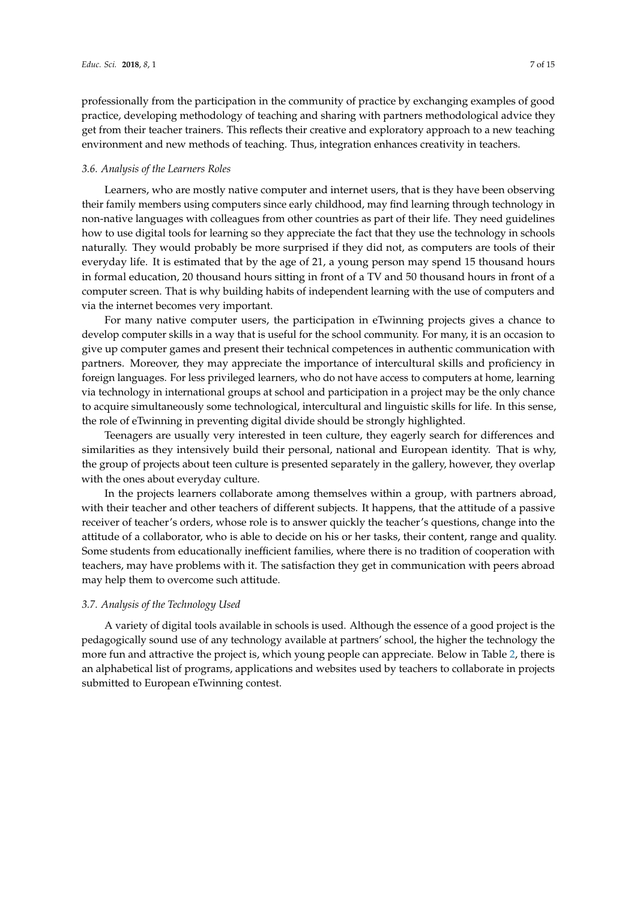professionally from the participation in the community of practice by exchanging examples of good practice, developing methodology of teaching and sharing with partners methodological advice they get from their teacher trainers. This reflects their creative and exploratory approach to a new teaching environment and new methods of teaching. Thus, integration enhances creativity in teachers.

### *3.6. Analysis of the Learners Roles*

Learners, who are mostly native computer and internet users, that is they have been observing their family members using computers since early childhood, may find learning through technology in non-native languages with colleagues from other countries as part of their life. They need guidelines how to use digital tools for learning so they appreciate the fact that they use the technology in schools naturally. They would probably be more surprised if they did not, as computers are tools of their everyday life. It is estimated that by the age of 21, a young person may spend 15 thousand hours in formal education, 20 thousand hours sitting in front of a TV and 50 thousand hours in front of a computer screen. That is why building habits of independent learning with the use of computers and via the internet becomes very important.

For many native computer users, the participation in eTwinning projects gives a chance to develop computer skills in a way that is useful for the school community. For many, it is an occasion to give up computer games and present their technical competences in authentic communication with partners. Moreover, they may appreciate the importance of intercultural skills and proficiency in foreign languages. For less privileged learners, who do not have access to computers at home, learning via technology in international groups at school and participation in a project may be the only chance to acquire simultaneously some technological, intercultural and linguistic skills for life. In this sense, the role of eTwinning in preventing digital divide should be strongly highlighted.

Teenagers are usually very interested in teen culture, they eagerly search for differences and similarities as they intensively build their personal, national and European identity. That is why, the group of projects about teen culture is presented separately in the gallery, however, they overlap with the ones about everyday culture.

In the projects learners collaborate among themselves within a group, with partners abroad, with their teacher and other teachers of different subjects. It happens, that the attitude of a passive receiver of teacher's orders, whose role is to answer quickly the teacher's questions, change into the attitude of a collaborator, who is able to decide on his or her tasks, their content, range and quality. Some students from educationally inefficient families, where there is no tradition of cooperation with teachers, may have problems with it. The satisfaction they get in communication with peers abroad may help them to overcome such attitude.

# *3.7. Analysis of the Technology Used*

A variety of digital tools available in schools is used. Although the essence of a good project is the pedagogically sound use of any technology available at partners' school, the higher the technology the more fun and attractive the project is, which young people can appreciate. Below in Table [2,](#page-7-0) there is an alphabetical list of programs, applications and websites used by teachers to collaborate in projects submitted to European eTwinning contest.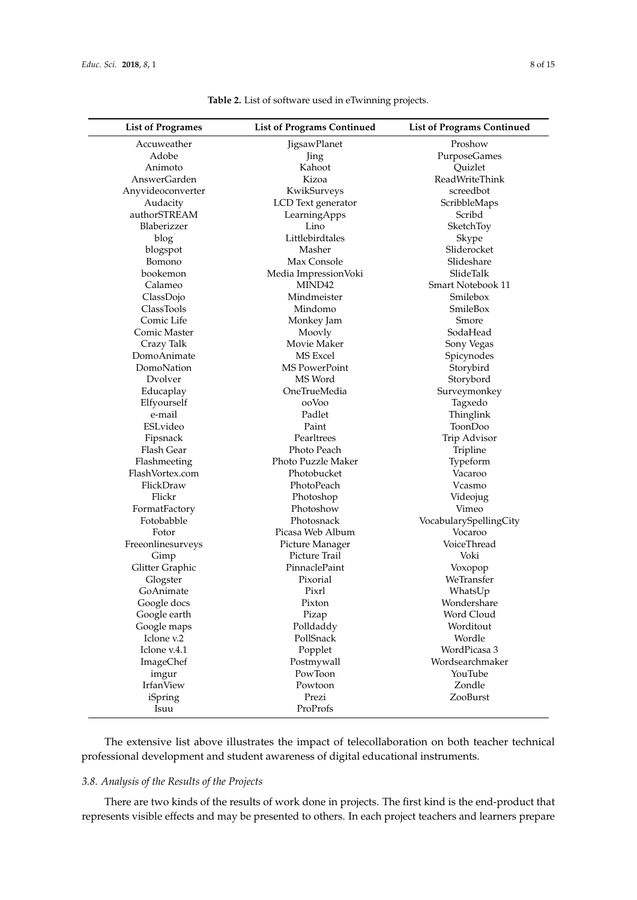<span id="page-7-0"></span> $\overline{a}$ 

| <b>List of Programes</b> | <b>List of Programs Continued</b> | <b>List of Programs Continued</b> |
|--------------------------|-----------------------------------|-----------------------------------|
| Accuweather              | JigsawPlanet                      | Proshow                           |
| Adobe                    | Jing                              | PurposeGames                      |
| Animoto                  | Kahoot                            | Quizlet                           |
| AnswerGarden             | Kizoa                             | ReadWriteThink                    |
| Anyvideoconverter        | KwikSurveys                       | screedbot                         |
| Audacity                 | LCD Text generator                | ScribbleMaps                      |
| authorSTREAM             | LearningApps                      | Scribd                            |
| Blaberizzer              | Lino                              | SketchToy                         |
| blog                     | Littlebirdtales                   | Skype                             |
| blogspot                 | Masher                            | Sliderocket                       |
| Bomono                   | Max Console                       | Slideshare                        |
| bookemon                 | Media ImpressionVoki              | SlideTalk                         |
| Calameo                  | MIND42                            | Smart Notebook 11                 |
| ClassDojo                | Mindmeister                       | Smilebox                          |
| ClassTools               | Mindomo                           | SmileBox                          |
| Comic Life               | Monkey Jam                        | Smore                             |
| Comic Master             | Moovly                            | SodaHead                          |
| Crazy Talk               | Movie Maker                       | Sony Vegas                        |
| DomoAnimate              | MS Excel                          | Spicynodes                        |
| DomoNation               | MS PowerPoint                     | Storybird                         |
| Dvolver                  | MS Word                           | Storybord                         |
| Educaplay                | OneTrueMedia                      | Surveymonkey                      |
| Elfyourself              | ooVoo                             | Tagxedo                           |
| e-mail                   | Padlet                            | Thinglink                         |
| ESLvideo                 | Paint                             | ToonDoo                           |
| Fipsnack                 | Pearltrees                        | Trip Advisor                      |
| Flash Gear               | Photo Peach                       | Tripline                          |
| Flashmeeting             | Photo Puzzle Maker                | Typeform                          |
| FlashVortex.com          | Photobucket                       | Vacaroo                           |
| FlickDraw                | PhotoPeach                        | Vcasmo                            |
| Flickr                   | Photoshop                         | Videojug                          |
| FormatFactory            | Photoshow                         | Vimeo                             |
| Fotobabble               | Photosnack                        | VocabularySpellingCity            |
| Fotor                    | Picasa Web Album                  | Vocaroo                           |
| Freeonlinesurveys        | Picture Manager                   | VoiceThread                       |
| Gimp                     | Picture Trail                     | Voki                              |
| Glitter Graphic          | PinnaclePaint                     | Voxopop                           |
| Glogster                 | Pixorial                          | WeTransfer                        |
| GoAnimate                | Pixrl                             | WhatsUp                           |
| Google docs              | Pixton                            | Wondershare                       |
| Google earth             | Pizap                             | Word Cloud                        |
| Google maps              | Polldaddy                         | Worditout                         |
| Iclone v.2               | PollSnack                         | Wordle                            |
| Iclone v.4.1             | Popplet                           | WordPicasa 3                      |
| ImageChef                | Postmywall                        | Wordsearchmaker                   |
| imgur                    | PowToon                           | YouTube                           |
| IrfanView                | Powtoon                           | Zondle                            |
| iSpring                  | Prezi                             | ZooBurst                          |
| Isuu                     | ProProfs                          |                                   |
|                          |                                   |                                   |

**Table 2.** List of software used in eTwinning projects.

The extensive list above illustrates the impact of telecollaboration on both teacher technical professional development and student awareness of digital educational instruments.

# *3.8. Analysis of the Results of the Projects*

There are two kinds of the results of work done in projects. The first kind is the end-product that represents visible effects and may be presented to others. In each project teachers and learners prepare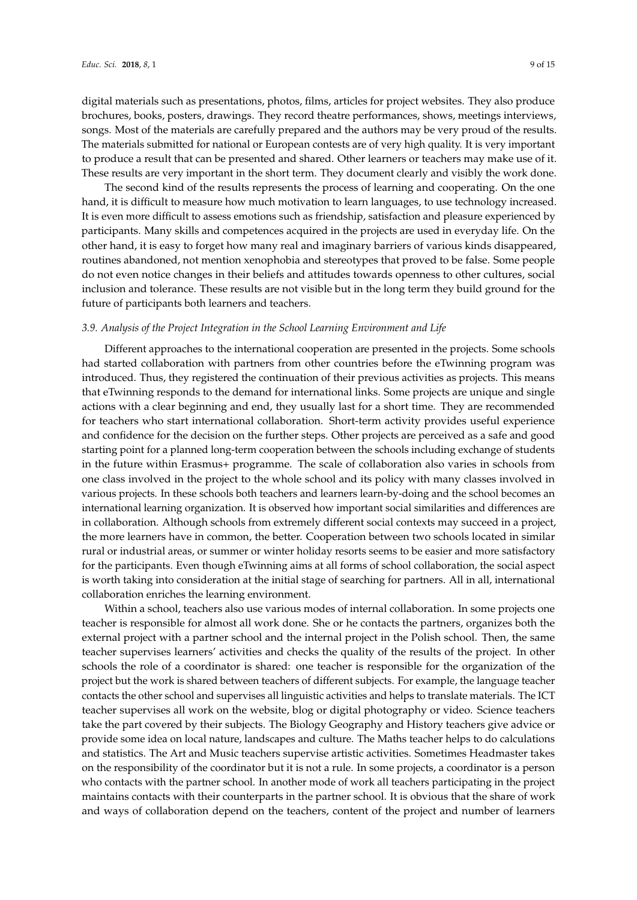digital materials such as presentations, photos, films, articles for project websites. They also produce brochures, books, posters, drawings. They record theatre performances, shows, meetings interviews, songs. Most of the materials are carefully prepared and the authors may be very proud of the results. The materials submitted for national or European contests are of very high quality. It is very important to produce a result that can be presented and shared. Other learners or teachers may make use of it. These results are very important in the short term. They document clearly and visibly the work done.

The second kind of the results represents the process of learning and cooperating. On the one hand, it is difficult to measure how much motivation to learn languages, to use technology increased. It is even more difficult to assess emotions such as friendship, satisfaction and pleasure experienced by participants. Many skills and competences acquired in the projects are used in everyday life. On the other hand, it is easy to forget how many real and imaginary barriers of various kinds disappeared, routines abandoned, not mention xenophobia and stereotypes that proved to be false. Some people do not even notice changes in their beliefs and attitudes towards openness to other cultures, social inclusion and tolerance. These results are not visible but in the long term they build ground for the future of participants both learners and teachers.

# *3.9. Analysis of the Project Integration in the School Learning Environment and Life*

Different approaches to the international cooperation are presented in the projects. Some schools had started collaboration with partners from other countries before the eTwinning program was introduced. Thus, they registered the continuation of their previous activities as projects. This means that eTwinning responds to the demand for international links. Some projects are unique and single actions with a clear beginning and end, they usually last for a short time. They are recommended for teachers who start international collaboration. Short-term activity provides useful experience and confidence for the decision on the further steps. Other projects are perceived as a safe and good starting point for a planned long-term cooperation between the schools including exchange of students in the future within Erasmus+ programme. The scale of collaboration also varies in schools from one class involved in the project to the whole school and its policy with many classes involved in various projects. In these schools both teachers and learners learn-by-doing and the school becomes an international learning organization. It is observed how important social similarities and differences are in collaboration. Although schools from extremely different social contexts may succeed in a project, the more learners have in common, the better. Cooperation between two schools located in similar rural or industrial areas, or summer or winter holiday resorts seems to be easier and more satisfactory for the participants. Even though eTwinning aims at all forms of school collaboration, the social aspect is worth taking into consideration at the initial stage of searching for partners. All in all, international collaboration enriches the learning environment.

Within a school, teachers also use various modes of internal collaboration. In some projects one teacher is responsible for almost all work done. She or he contacts the partners, organizes both the external project with a partner school and the internal project in the Polish school. Then, the same teacher supervises learners' activities and checks the quality of the results of the project. In other schools the role of a coordinator is shared: one teacher is responsible for the organization of the project but the work is shared between teachers of different subjects. For example, the language teacher contacts the other school and supervises all linguistic activities and helps to translate materials. The ICT teacher supervises all work on the website, blog or digital photography or video. Science teachers take the part covered by their subjects. The Biology Geography and History teachers give advice or provide some idea on local nature, landscapes and culture. The Maths teacher helps to do calculations and statistics. The Art and Music teachers supervise artistic activities. Sometimes Headmaster takes on the responsibility of the coordinator but it is not a rule. In some projects, a coordinator is a person who contacts with the partner school. In another mode of work all teachers participating in the project maintains contacts with their counterparts in the partner school. It is obvious that the share of work and ways of collaboration depend on the teachers, content of the project and number of learners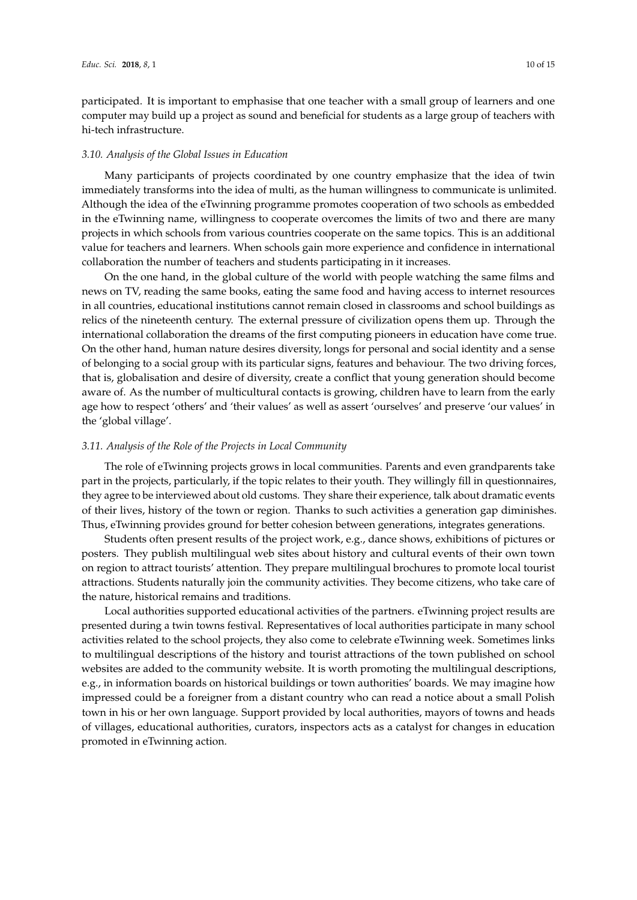participated. It is important to emphasise that one teacher with a small group of learners and one computer may build up a project as sound and beneficial for students as a large group of teachers with hi-tech infrastructure.

#### *3.10. Analysis of the Global Issues in Education*

Many participants of projects coordinated by one country emphasize that the idea of twin immediately transforms into the idea of multi, as the human willingness to communicate is unlimited. Although the idea of the eTwinning programme promotes cooperation of two schools as embedded in the eTwinning name, willingness to cooperate overcomes the limits of two and there are many projects in which schools from various countries cooperate on the same topics. This is an additional value for teachers and learners. When schools gain more experience and confidence in international collaboration the number of teachers and students participating in it increases.

On the one hand, in the global culture of the world with people watching the same films and news on TV, reading the same books, eating the same food and having access to internet resources in all countries, educational institutions cannot remain closed in classrooms and school buildings as relics of the nineteenth century. The external pressure of civilization opens them up. Through the international collaboration the dreams of the first computing pioneers in education have come true. On the other hand, human nature desires diversity, longs for personal and social identity and a sense of belonging to a social group with its particular signs, features and behaviour. The two driving forces, that is, globalisation and desire of diversity, create a conflict that young generation should become aware of. As the number of multicultural contacts is growing, children have to learn from the early age how to respect 'others' and 'their values' as well as assert 'ourselves' and preserve 'our values' in the 'global village'.

#### *3.11. Analysis of the Role of the Projects in Local Community*

The role of eTwinning projects grows in local communities. Parents and even grandparents take part in the projects, particularly, if the topic relates to their youth. They willingly fill in questionnaires, they agree to be interviewed about old customs. They share their experience, talk about dramatic events of their lives, history of the town or region. Thanks to such activities a generation gap diminishes. Thus, eTwinning provides ground for better cohesion between generations, integrates generations.

Students often present results of the project work, e.g., dance shows, exhibitions of pictures or posters. They publish multilingual web sites about history and cultural events of their own town on region to attract tourists' attention. They prepare multilingual brochures to promote local tourist attractions. Students naturally join the community activities. They become citizens, who take care of the nature, historical remains and traditions.

Local authorities supported educational activities of the partners. eTwinning project results are presented during a twin towns festival. Representatives of local authorities participate in many school activities related to the school projects, they also come to celebrate eTwinning week. Sometimes links to multilingual descriptions of the history and tourist attractions of the town published on school websites are added to the community website. It is worth promoting the multilingual descriptions, e.g., in information boards on historical buildings or town authorities' boards. We may imagine how impressed could be a foreigner from a distant country who can read a notice about a small Polish town in his or her own language. Support provided by local authorities, mayors of towns and heads of villages, educational authorities, curators, inspectors acts as a catalyst for changes in education promoted in eTwinning action.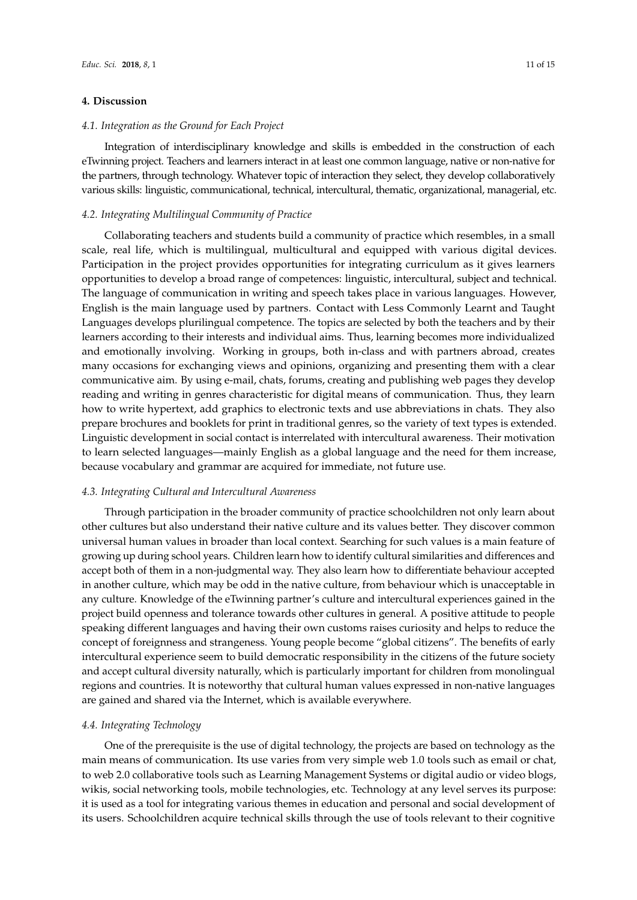# **4. Discussion**

# *4.1. Integration as the Ground for Each Project*

Integration of interdisciplinary knowledge and skills is embedded in the construction of each eTwinning project. Teachers and learners interact in at least one common language, native or non-native for the partners, through technology. Whatever topic of interaction they select, they develop collaboratively various skills: linguistic, communicational, technical, intercultural, thematic, organizational, managerial, etc.

# *4.2. Integrating Multilingual Community of Practice*

Collaborating teachers and students build a community of practice which resembles, in a small scale, real life, which is multilingual, multicultural and equipped with various digital devices. Participation in the project provides opportunities for integrating curriculum as it gives learners opportunities to develop a broad range of competences: linguistic, intercultural, subject and technical. The language of communication in writing and speech takes place in various languages. However, English is the main language used by partners. Contact with Less Commonly Learnt and Taught Languages develops plurilingual competence. The topics are selected by both the teachers and by their learners according to their interests and individual aims. Thus, learning becomes more individualized and emotionally involving. Working in groups, both in-class and with partners abroad, creates many occasions for exchanging views and opinions, organizing and presenting them with a clear communicative aim. By using e-mail, chats, forums, creating and publishing web pages they develop reading and writing in genres characteristic for digital means of communication. Thus, they learn how to write hypertext, add graphics to electronic texts and use abbreviations in chats. They also prepare brochures and booklets for print in traditional genres, so the variety of text types is extended. Linguistic development in social contact is interrelated with intercultural awareness. Their motivation to learn selected languages—mainly English as a global language and the need for them increase, because vocabulary and grammar are acquired for immediate, not future use.

#### *4.3. Integrating Cultural and Intercultural Awareness*

Through participation in the broader community of practice schoolchildren not only learn about other cultures but also understand their native culture and its values better. They discover common universal human values in broader than local context. Searching for such values is a main feature of growing up during school years. Children learn how to identify cultural similarities and differences and accept both of them in a non-judgmental way. They also learn how to differentiate behaviour accepted in another culture, which may be odd in the native culture, from behaviour which is unacceptable in any culture. Knowledge of the eTwinning partner's culture and intercultural experiences gained in the project build openness and tolerance towards other cultures in general. A positive attitude to people speaking different languages and having their own customs raises curiosity and helps to reduce the concept of foreignness and strangeness. Young people become "global citizens". The benefits of early intercultural experience seem to build democratic responsibility in the citizens of the future society and accept cultural diversity naturally, which is particularly important for children from monolingual regions and countries. It is noteworthy that cultural human values expressed in non-native languages are gained and shared via the Internet, which is available everywhere.

#### *4.4. Integrating Technology*

One of the prerequisite is the use of digital technology, the projects are based on technology as the main means of communication. Its use varies from very simple web 1.0 tools such as email or chat, to web 2.0 collaborative tools such as Learning Management Systems or digital audio or video blogs, wikis, social networking tools, mobile technologies, etc. Technology at any level serves its purpose: it is used as a tool for integrating various themes in education and personal and social development of its users. Schoolchildren acquire technical skills through the use of tools relevant to their cognitive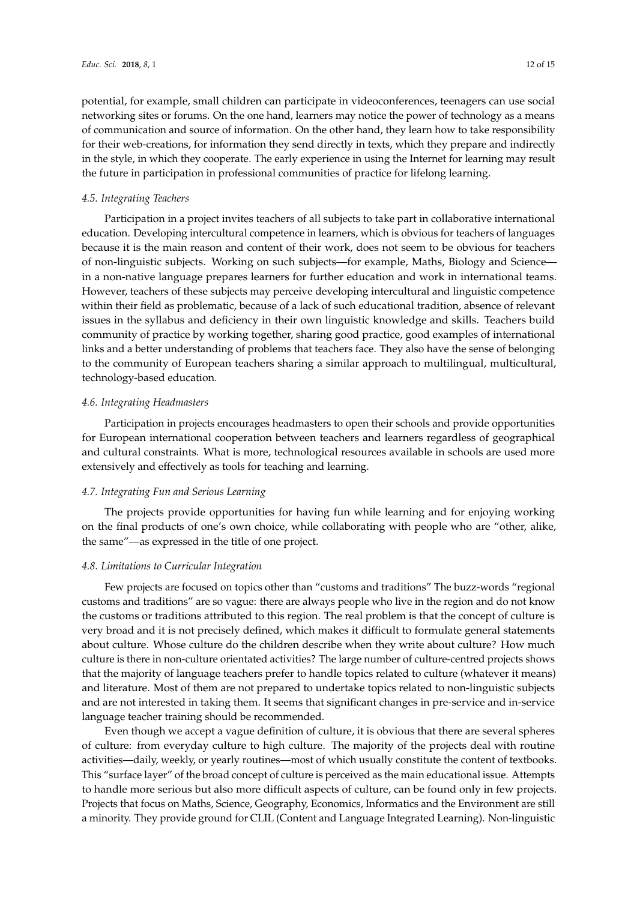potential, for example, small children can participate in videoconferences, teenagers can use social networking sites or forums. On the one hand, learners may notice the power of technology as a means of communication and source of information. On the other hand, they learn how to take responsibility for their web-creations, for information they send directly in texts, which they prepare and indirectly in the style, in which they cooperate. The early experience in using the Internet for learning may result the future in participation in professional communities of practice for lifelong learning.

# *4.5. Integrating Teachers*

Participation in a project invites teachers of all subjects to take part in collaborative international education. Developing intercultural competence in learners, which is obvious for teachers of languages because it is the main reason and content of their work, does not seem to be obvious for teachers of non-linguistic subjects. Working on such subjects—for example, Maths, Biology and Science in a non-native language prepares learners for further education and work in international teams. However, teachers of these subjects may perceive developing intercultural and linguistic competence within their field as problematic, because of a lack of such educational tradition, absence of relevant issues in the syllabus and deficiency in their own linguistic knowledge and skills. Teachers build community of practice by working together, sharing good practice, good examples of international links and a better understanding of problems that teachers face. They also have the sense of belonging to the community of European teachers sharing a similar approach to multilingual, multicultural, technology-based education.

# *4.6. Integrating Headmasters*

Participation in projects encourages headmasters to open their schools and provide opportunities for European international cooperation between teachers and learners regardless of geographical and cultural constraints. What is more, technological resources available in schools are used more extensively and effectively as tools for teaching and learning.

# *4.7. Integrating Fun and Serious Learning*

The projects provide opportunities for having fun while learning and for enjoying working on the final products of one's own choice, while collaborating with people who are "other, alike, the same"—as expressed in the title of one project.

# *4.8. Limitations to Curricular Integration*

Few projects are focused on topics other than "customs and traditions" The buzz-words "regional customs and traditions" are so vague: there are always people who live in the region and do not know the customs or traditions attributed to this region. The real problem is that the concept of culture is very broad and it is not precisely defined, which makes it difficult to formulate general statements about culture. Whose culture do the children describe when they write about culture? How much culture is there in non-culture orientated activities? The large number of culture-centred projects shows that the majority of language teachers prefer to handle topics related to culture (whatever it means) and literature. Most of them are not prepared to undertake topics related to non-linguistic subjects and are not interested in taking them. It seems that significant changes in pre-service and in-service language teacher training should be recommended.

Even though we accept a vague definition of culture, it is obvious that there are several spheres of culture: from everyday culture to high culture. The majority of the projects deal with routine activities—daily, weekly, or yearly routines—most of which usually constitute the content of textbooks. This "surface layer" of the broad concept of culture is perceived as the main educational issue. Attempts to handle more serious but also more difficult aspects of culture, can be found only in few projects. Projects that focus on Maths, Science, Geography, Economics, Informatics and the Environment are still a minority. They provide ground for CLIL (Content and Language Integrated Learning). Non-linguistic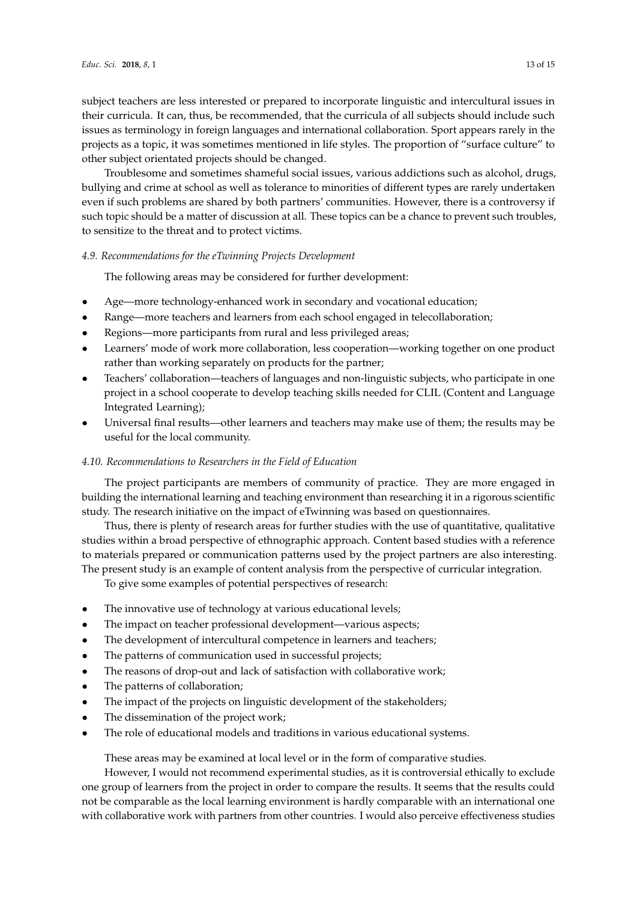subject teachers are less interested or prepared to incorporate linguistic and intercultural issues in their curricula. It can, thus, be recommended, that the curricula of all subjects should include such issues as terminology in foreign languages and international collaboration. Sport appears rarely in the projects as a topic, it was sometimes mentioned in life styles. The proportion of "surface culture" to other subject orientated projects should be changed.

Troublesome and sometimes shameful social issues, various addictions such as alcohol, drugs, bullying and crime at school as well as tolerance to minorities of different types are rarely undertaken even if such problems are shared by both partners' communities. However, there is a controversy if such topic should be a matter of discussion at all. These topics can be a chance to prevent such troubles, to sensitize to the threat and to protect victims.

# *4.9. Recommendations for the eTwinning Projects Development*

The following areas may be considered for further development:

- Age—more technology-enhanced work in secondary and vocational education;
- Range—more teachers and learners from each school engaged in telecollaboration;
- Regions—more participants from rural and less privileged areas;
- Learners' mode of work more collaboration, less cooperation—working together on one product rather than working separately on products for the partner;
- Teachers' collaboration—teachers of languages and non-linguistic subjects, who participate in one project in a school cooperate to develop teaching skills needed for CLIL (Content and Language Integrated Learning);
- Universal final results—other learners and teachers may make use of them; the results may be useful for the local community.

# *4.10. Recommendations to Researchers in the Field of Education*

The project participants are members of community of practice. They are more engaged in building the international learning and teaching environment than researching it in a rigorous scientific study. The research initiative on the impact of eTwinning was based on questionnaires.

Thus, there is plenty of research areas for further studies with the use of quantitative, qualitative studies within a broad perspective of ethnographic approach. Content based studies with a reference to materials prepared or communication patterns used by the project partners are also interesting. The present study is an example of content analysis from the perspective of curricular integration.

To give some examples of potential perspectives of research:

- The innovative use of technology at various educational levels;
- The impact on teacher professional development—various aspects;
- The development of intercultural competence in learners and teachers;
- The patterns of communication used in successful projects;
- The reasons of drop-out and lack of satisfaction with collaborative work;
- The patterns of collaboration;
- The impact of the projects on linguistic development of the stakeholders;
- The dissemination of the project work;
- The role of educational models and traditions in various educational systems.

These areas may be examined at local level or in the form of comparative studies.

However, I would not recommend experimental studies, as it is controversial ethically to exclude one group of learners from the project in order to compare the results. It seems that the results could not be comparable as the local learning environment is hardly comparable with an international one with collaborative work with partners from other countries. I would also perceive effectiveness studies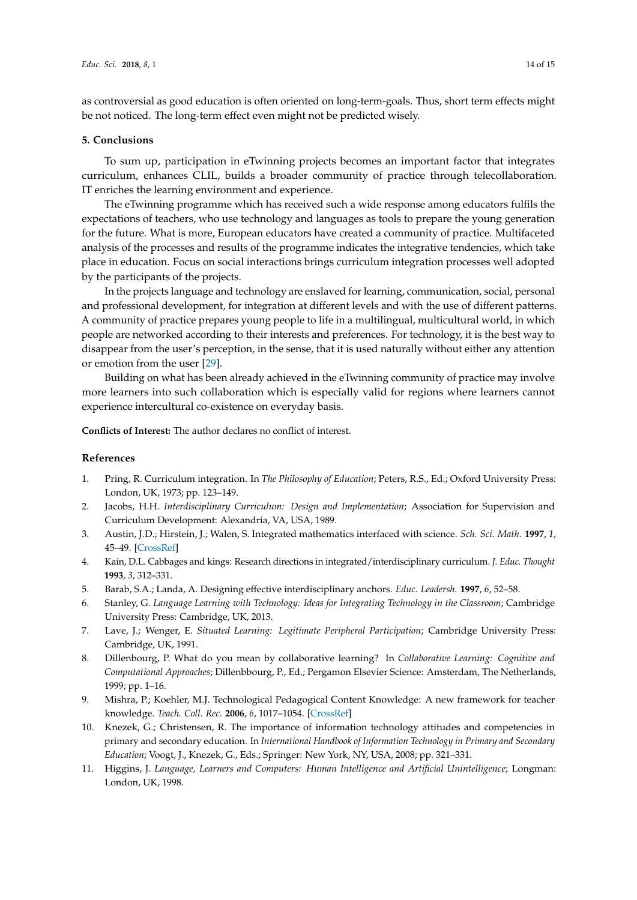as controversial as good education is often oriented on long-term-goals. Thus, short term effects might be not noticed. The long-term effect even might not be predicted wisely.

#### **5. Conclusions**

To sum up, participation in eTwinning projects becomes an important factor that integrates curriculum, enhances CLIL, builds a broader community of practice through telecollaboration. IT enriches the learning environment and experience.

The eTwinning programme which has received such a wide response among educators fulfils the expectations of teachers, who use technology and languages as tools to prepare the young generation for the future. What is more, European educators have created a community of practice. Multifaceted analysis of the processes and results of the programme indicates the integrative tendencies, which take place in education. Focus on social interactions brings curriculum integration processes well adopted by the participants of the projects.

In the projects language and technology are enslaved for learning, communication, social, personal and professional development, for integration at different levels and with the use of different patterns. A community of practice prepares young people to life in a multilingual, multicultural world, in which people are networked according to their interests and preferences. For technology, it is the best way to disappear from the user's perception, in the sense, that it is used naturally without either any attention or emotion from the user [\[29\]](#page-14-16).

Building on what has been already achieved in the eTwinning community of practice may involve more learners into such collaboration which is especially valid for regions where learners cannot experience intercultural co-existence on everyday basis.

**Conflicts of Interest:** The author declares no conflict of interest.

# **References**

- <span id="page-13-0"></span>1. Pring, R. Curriculum integration. In *The Philosophy of Education*; Peters, R.S., Ed.; Oxford University Press: London, UK, 1973; pp. 123–149.
- <span id="page-13-1"></span>2. Jacobs, H.H. *Interdisciplinary Curriculum: Design and Implementation*; Association for Supervision and Curriculum Development: Alexandria, VA, USA, 1989.
- <span id="page-13-2"></span>3. Austin, J.D.; Hirstein, J.; Walen, S. Integrated mathematics interfaced with science. *Sch. Sci. Math.* **1997**, *1*, 45–49. [\[CrossRef\]](http://dx.doi.org/10.1111/j.1949-8594.1997.tb17339.x)
- <span id="page-13-3"></span>4. Kain, D.L. Cabbages and kings: Research directions in integrated/interdisciplinary curriculum. *J. Educ. Thought* **1993**, *3*, 312–331.
- <span id="page-13-4"></span>5. Barab, S.A.; Landa, A. Designing effective interdisciplinary anchors. *Educ. Leadersh.* **1997**, *6*, 52–58.
- <span id="page-13-5"></span>6. Stanley, G. *Language Learning with Technology: Ideas for Integrating Technology in the Classroom*; Cambridge University Press: Cambridge, UK, 2013.
- <span id="page-13-6"></span>7. Lave, J.; Wenger, E. *Situated Learning: Legitimate Peripheral Participation*; Cambridge University Press: Cambridge, UK, 1991.
- <span id="page-13-7"></span>8. Dillenbourg, P. What do you mean by collaborative learning? In *Collaborative Learning: Cognitive and Computational Approaches*; Dillenbbourg, P., Ed.; Pergamon Elsevier Science: Amsterdam, The Netherlands, 1999; pp. 1–16.
- <span id="page-13-8"></span>9. Mishra, P.; Koehler, M.J. Technological Pedagogical Content Knowledge: A new framework for teacher knowledge. *Teach. Coll. Rec.* **2006**, *6*, 1017–1054. [\[CrossRef\]](http://dx.doi.org/10.1111/j.1467-9620.2006.00684.x)
- <span id="page-13-9"></span>10. Knezek, G.; Christensen, R. The importance of information technology attitudes and competencies in primary and secondary education. In *International Handbook of Information Technology in Primary and Secondary Education*; Voogt, J., Knezek, G., Eds.; Springer: New York, NY, USA, 2008; pp. 321–331.
- <span id="page-13-10"></span>11. Higgins, J. *Language, Learners and Computers: Human Intelligence and Artificial Unintelligence*; Longman: London, UK, 1998.